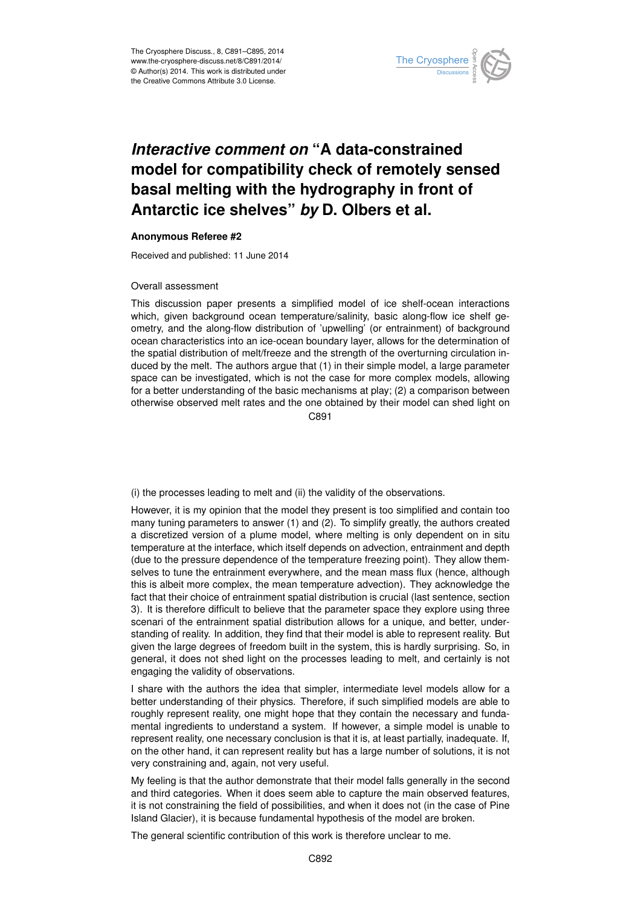

## *Interactive comment on* **"A data-constrained model for compatibility check of remotely sensed basal melting with the hydrography in front of Antarctic ice shelves"** *by* **D. Olbers et al.**

## **Anonymous Referee #2**

Received and published: 11 June 2014

## Overall assessment

This discussion paper presents a simplified model of ice shelf-ocean interactions which, given background ocean temperature/salinity, basic along-flow ice shelf geometry, and the along-flow distribution of 'upwelling' (or entrainment) of background ocean characteristics into an ice-ocean boundary layer, allows for the determination of the spatial distribution of melt/freeze and the strength of the overturning circulation induced by the melt. The authors argue that (1) in their simple model, a large parameter space can be investigated, which is not the case for more complex models, allowing for a better understanding of the basic mechanisms at play; (2) a comparison between otherwise observed melt rates and the one obtained by their model can shed light on

 $C.891$ 

(i) the processes leading to melt and (ii) the validity of the observations.

However, it is my opinion that the model they present is too simplified and contain too many tuning parameters to answer (1) and (2). To simplify greatly, the authors created a discretized version of a plume model, where melting is only dependent on in situ temperature at the interface, which itself depends on advection, entrainment and depth (due to the pressure dependence of the temperature freezing point). They allow themselves to tune the entrainment everywhere, and the mean mass flux (hence, although this is albeit more complex, the mean temperature advection). They acknowledge the fact that their choice of entrainment spatial distribution is crucial (last sentence, section 3). It is therefore difficult to believe that the parameter space they explore using three scenari of the entrainment spatial distribution allows for a unique, and better, understanding of reality. In addition, they find that their model is able to represent reality. But given the large degrees of freedom built in the system, this is hardly surprising. So, in general, it does not shed light on the processes leading to melt, and certainly is not engaging the validity of observations.

I share with the authors the idea that simpler, intermediate level models allow for a better understanding of their physics. Therefore, if such simplified models are able to roughly represent reality, one might hope that they contain the necessary and fundamental ingredients to understand a system. If however, a simple model is unable to represent reality, one necessary conclusion is that it is, at least partially, inadequate. If, on the other hand, it can represent reality but has a large number of solutions, it is not very constraining and, again, not very useful.

My feeling is that the author demonstrate that their model falls generally in the second and third categories. When it does seem able to capture the main observed features, it is not constraining the field of possibilities, and when it does not (in the case of Pine Island Glacier), it is because fundamental hypothesis of the model are broken.

The general scientific contribution of this work is therefore unclear to me.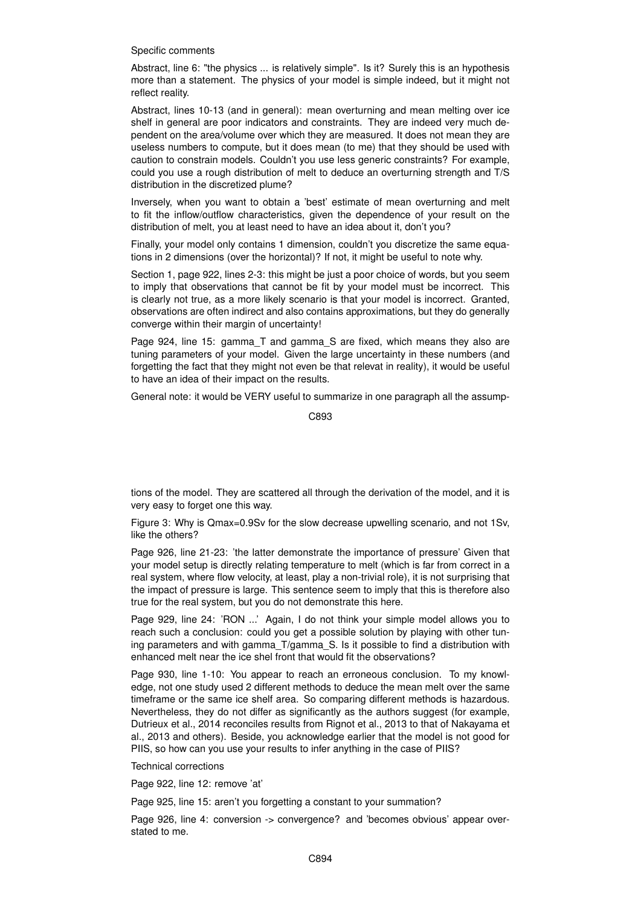Specific comments

Abstract, line 6: "the physics ... is relatively simple". Is it? Surely this is an hypothesis more than a statement. The physics of your model is simple indeed, but it might not reflect reality.

Abstract, lines 10-13 (and in general): mean overturning and mean melting over ice shelf in general are poor indicators and constraints. They are indeed very much dependent on the area/volume over which they are measured. It does not mean they are useless numbers to compute, but it does mean (to me) that they should be used with caution to constrain models. Couldn't you use less generic constraints? For example, could you use a rough distribution of melt to deduce an overturning strength and T/S distribution in the discretized plume?

Inversely, when you want to obtain a 'best' estimate of mean overturning and melt to fit the inflow/outflow characteristics, given the dependence of your result on the distribution of melt, you at least need to have an idea about it, don't you?

Finally, your model only contains 1 dimension, couldn't you discretize the same equations in 2 dimensions (over the horizontal)? If not, it might be useful to note why.

Section 1, page 922, lines 2-3: this might be just a poor choice of words, but you seem to imply that observations that cannot be fit by your model must be incorrect. This is clearly not true, as a more likely scenario is that your model is incorrect. Granted, observations are often indirect and also contains approximations, but they do generally converge within their margin of uncertainty!

Page 924, line 15: gamma T and gamma S are fixed, which means they also are tuning parameters of your model. Given the large uncertainty in these numbers (and forgetting the fact that they might not even be that relevat in reality), it would be useful to have an idea of their impact on the results.

General note: it would be VERY useful to summarize in one paragraph all the assump-

C893

tions of the model. They are scattered all through the derivation of the model, and it is very easy to forget one this way.

Figure 3: Why is Qmax=0.9Sv for the slow decrease upwelling scenario, and not 1Sv, like the others?

Page 926, line 21-23: 'the latter demonstrate the importance of pressure' Given that your model setup is directly relating temperature to melt (which is far from correct in a real system, where flow velocity, at least, play a non-trivial role), it is not surprising that the impact of pressure is large. This sentence seem to imply that this is therefore also true for the real system, but you do not demonstrate this here.

Page 929, line 24: 'RON ...' Again, I do not think your simple model allows you to reach such a conclusion: could you get a possible solution by playing with other tuning parameters and with gamma\_T/gamma\_S. Is it possible to find a distribution with enhanced melt near the ice shel front that would fit the observations?

Page 930, line 1-10: You appear to reach an erroneous conclusion. To my knowledge, not one study used 2 different methods to deduce the mean melt over the same timeframe or the same ice shelf area. So comparing different methods is hazardous. Nevertheless, they do not differ as significantly as the authors suggest (for example, Dutrieux et al., 2014 reconciles results from Rignot et al., 2013 to that of Nakayama et al., 2013 and others). Beside, you acknowledge earlier that the model is not good for PIIS, so how can you use your results to infer anything in the case of PIIS?

Technical corrections

Page 922, line 12: remove 'at'

Page 925, line 15: aren't you forgetting a constant to your summation?

Page 926, line 4: conversion -> convergence? and 'becomes obvious' appear overstated to me.